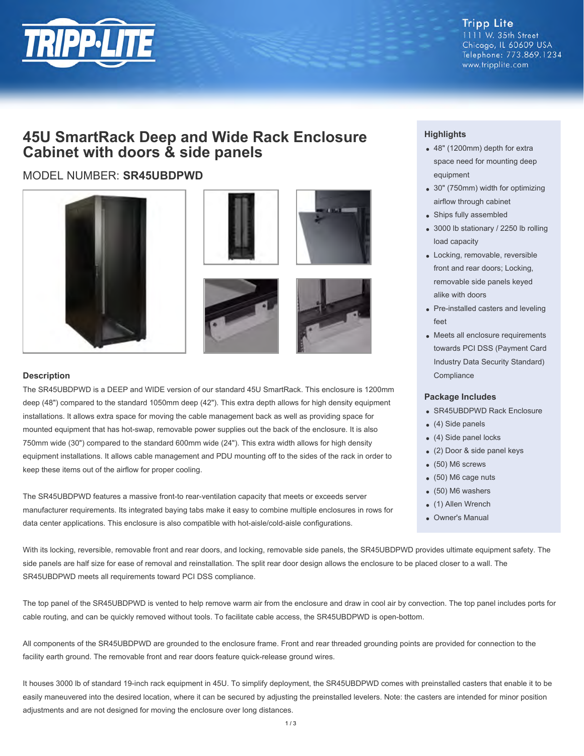

**Tripp Lite** 1111 W. 35th Street Chicago, IL 60609 USA Telephone: 773.869.1234 www.tripplite.com

## **45U SmartRack Deep and Wide Rack Enclosure Cabinet with doors & side panels**

### MODEL NUMBER: **SR45UBDPWD**









#### **Description**

The SR45UBDPWD is a DEEP and WIDE version of our standard 45U SmartRack. This enclosure is 1200mm deep (48") compared to the standard 1050mm deep (42"). This extra depth allows for high density equipment installations. It allows extra space for moving the cable management back as well as providing space for mounted equipment that has hot-swap, removable power supplies out the back of the enclosure. It is also 750mm wide (30") compared to the standard 600mm wide (24"). This extra width allows for high density equipment installations. It allows cable management and PDU mounting off to the sides of the rack in order to keep these items out of the airflow for proper cooling.

The SR45UBDPWD features a massive front-to rear-ventilation capacity that meets or exceeds server manufacturer requirements. Its integrated baying tabs make it easy to combine multiple enclosures in rows for data center applications. This enclosure is also compatible with hot-aisle/cold-aisle configurations.

#### **Highlights**

- 48" (1200mm) depth for extra space need for mounting deep equipment
- 30" (750mm) width for optimizing airflow through cabinet
- Ships fully assembled
- 3000 lb stationary / 2250 lb rolling load capacity
- Locking, removable, reversible front and rear doors; Locking, removable side panels keyed alike with doors
- Pre-installed casters and leveling feet
- Meets all enclosure requirements towards PCI DSS (Payment Card Industry Data Security Standard) **Compliance**

#### **Package Includes**

- SR45UBDPWD Rack Enclosure
- (4) Side panels
- (4) Side panel locks
- (2) Door & side panel keys
- (50) M6 screws
- (50) M6 cage nuts
- (50) M6 washers
- (1) Allen Wrench
- Owner's Manual

With its locking, reversible, removable front and rear doors, and locking, removable side panels, the SR45UBDPWD provides ultimate equipment safety. The side panels are half size for ease of removal and reinstallation. The split rear door design allows the enclosure to be placed closer to a wall. The SR45UBDPWD meets all requirements toward PCI DSS compliance.

The top panel of the SR45UBDPWD is vented to help remove warm air from the enclosure and draw in cool air by convection. The top panel includes ports for cable routing, and can be quickly removed without tools. To facilitate cable access, the SR45UBDPWD is open-bottom.

All components of the SR45UBDPWD are grounded to the enclosure frame. Front and rear threaded grounding points are provided for connection to the facility earth ground. The removable front and rear doors feature quick-release ground wires.

It houses 3000 lb of standard 19-inch rack equipment in 45U. To simplify deployment, the SR45UBDPWD comes with preinstalled casters that enable it to be easily maneuvered into the desired location, where it can be secured by adjusting the preinstalled levelers. Note: the casters are intended for minor position adjustments and are not designed for moving the enclosure over long distances.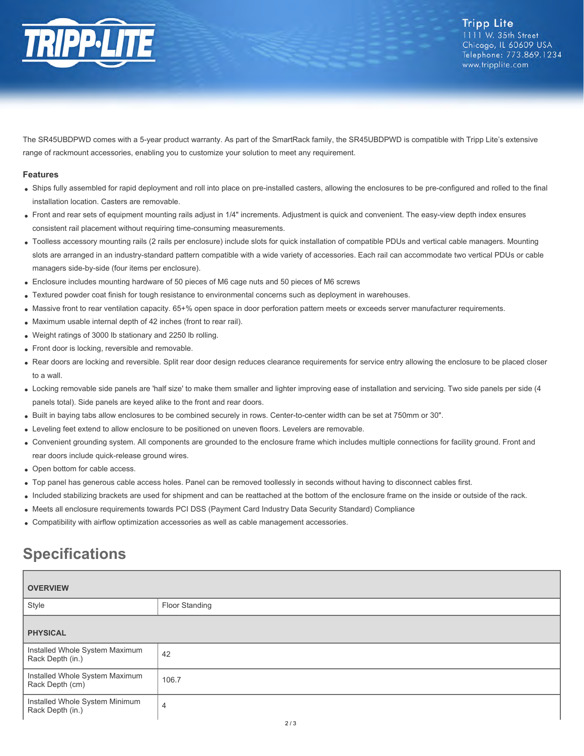

The SR45UBDPWD comes with a 5-year product warranty. As part of the SmartRack family, the SR45UBDPWD is compatible with Tripp Lite's extensive range of rackmount accessories, enabling you to customize your solution to meet any requirement.

#### **Features**

- Ships fully assembled for rapid deployment and roll into place on pre-installed casters, allowing the enclosures to be pre-configured and rolled to the final installation location. Casters are removable.
- Front and rear sets of equipment mounting rails adjust in 1/4" increments. Adjustment is quick and convenient. The easy-view depth index ensures consistent rail placement without requiring time-consuming measurements.
- Toolless accessory mounting rails (2 rails per enclosure) include slots for quick installation of compatible PDUs and vertical cable managers. Mounting slots are arranged in an industry-standard pattern compatible with a wide variety of accessories. Each rail can accommodate two vertical PDUs or cable managers side-by-side (four items per enclosure).
- Enclosure includes mounting hardware of 50 pieces of M6 cage nuts and 50 pieces of M6 screws
- Textured powder coat finish for tough resistance to environmental concerns such as deployment in warehouses.
- Massive front to rear ventilation capacity. 65+% open space in door perforation pattern meets or exceeds server manufacturer requirements.  $\bullet$
- Maximum usable internal depth of 42 inches (front to rear rail).
- Weight ratings of 3000 lb stationary and 2250 lb rolling.
- Front door is locking, reversible and removable.
- Rear doors are locking and reversible. Split rear door design reduces clearance requirements for service entry allowing the enclosure to be placed closer to a wall.
- Locking removable side panels are 'half size' to make them smaller and lighter improving ease of installation and servicing. Two side panels per side (4 panels total). Side panels are keyed alike to the front and rear doors.
- Built in baying tabs allow enclosures to be combined securely in rows. Center-to-center width can be set at 750mm or 30".
- Leveling feet extend to allow enclosure to be positioned on uneven floors. Levelers are removable.
- Convenient grounding system. All components are grounded to the enclosure frame which includes multiple connections for facility ground. Front and rear doors include quick-release ground wires.
- Open bottom for cable access.
- Top panel has generous cable access holes. Panel can be removed toollessly in seconds without having to disconnect cables first.
- Included stabilizing brackets are used for shipment and can be reattached at the bottom of the enclosure frame on the inside or outside of the rack.
- Meets all enclosure requirements towards PCI DSS (Payment Card Industry Data Security Standard) Compliance
- Compatibility with airflow optimization accessories as well as cable management accessories.

# **Specifications**

| <b>OVERVIEW</b>                                    |                |  |
|----------------------------------------------------|----------------|--|
| Style                                              | Floor Standing |  |
| <b>PHYSICAL</b>                                    |                |  |
| Installed Whole System Maximum<br>Rack Depth (in.) | 42             |  |
| Installed Whole System Maximum<br>Rack Depth (cm)  | 106.7          |  |
| Installed Whole System Minimum<br>Rack Depth (in.) | $\overline{4}$ |  |